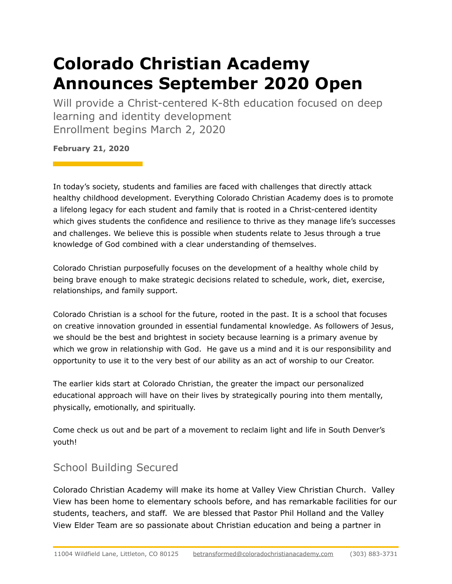## **Colorado Christian Academy Announces September 2020 Open**

Will provide a Christ-centered K-8th education focused on deep learning and identity development Enrollment begins March 2, 2020

**February 21, 2020**

In today's society, students and families are faced with challenges that directly attack healthy childhood development. Everything Colorado Christian Academy does is to promote a lifelong legacy for each student and family that is rooted in a Christ-centered identity which gives students the confidence and resilience to thrive as they manage life's successes and challenges. We believe this is possible when students relate to Jesus through a true knowledge of God combined with a clear understanding of themselves.

Colorado Christian purposefully focuses on the development of a healthy whole child by being brave enough to make strategic decisions related to schedule, work, diet, exercise, relationships, and family support.

Colorado Christian is a school for the future, rooted in the past. It is a school that focuses on creative innovation grounded in essential fundamental knowledge. As followers of Jesus, we should be the best and brightest in society because learning is a primary avenue by which we grow in relationship with God. He gave us a mind and it is our responsibility and opportunity to use it to the very best of our ability as an act of worship to our Creator.

The earlier kids start at Colorado Christian, the greater the impact our personalized educational approach will have on their lives by strategically pouring into them mentally, physically, emotionally, and spiritually.

Come check us out and be part of a movement to reclaim light and life in South Denver's youth!

## School Building Secured

Colorado Christian Academy will make its home at Valley View Christian Church. Valley View has been home to elementary schools before, and has remarkable facilities for our students, teachers, and staff. We are blessed that Pastor Phil Holland and the Valley View Elder Team are so passionate about Christian education and being a partner in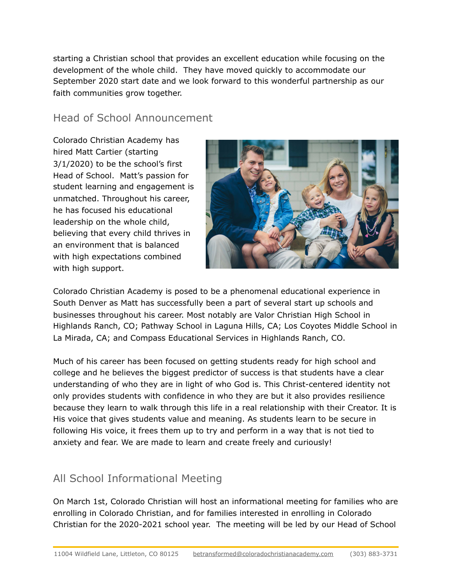starting a Christian school that provides an excellent education while focusing on the development of the whole child. They have moved quickly to accommodate our September 2020 start date and we look forward to this wonderful partnership as our faith communities grow together.

## Head of School Announcement

Colorado Christian Academy has hired Matt Cartier (starting 3/1/2020) to be the school's first Head of School. Matt's passion for student learning and engagement is unmatched. Throughout his career, he has focused his educational leadership on the whole child, believing that every child thrives in an environment that is balanced with high expectations combined with high support.



Colorado Christian Academy is posed to be a phenomenal educational experience in South Denver as Matt has successfully been a part of several start up schools and businesses throughout his career. Most notably are Valor Christian High School in Highlands Ranch, CO; Pathway School in Laguna Hills, CA; Los Coyotes Middle School in La Mirada, CA; and Compass Educational Services in Highlands Ranch, CO.

Much of his career has been focused on getting students ready for high school and college and he believes the biggest predictor of success is that students have a clear understanding of who they are in light of who God is. This Christ-centered identity not only provides students with confidence in who they are but it also provides resilience because they learn to walk through this life in a real relationship with their Creator. It is His voice that gives students value and meaning. As students learn to be secure in following His voice, it frees them up to try and perform in a way that is not tied to anxiety and fear. We are made to learn and create freely and curiously!

## All School Informational Meeting

On March 1st, Colorado Christian will host an informational meeting for families who are enrolling in Colorado Christian, and for families interested in enrolling in Colorado Christian for the 2020-2021 school year. The meeting will be led by our Head of School